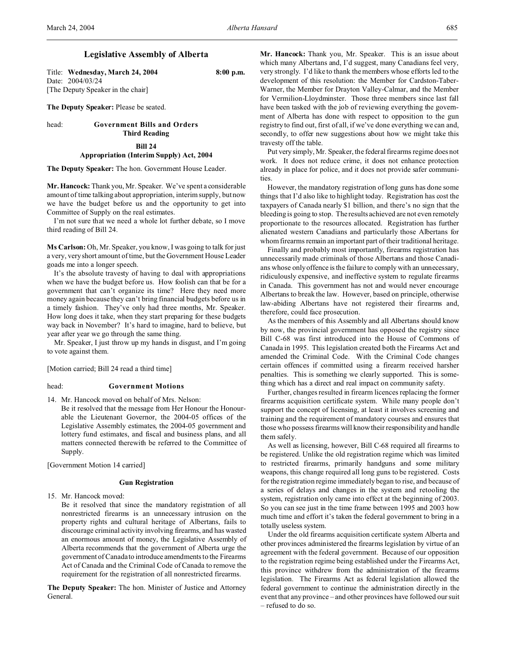# **Legislative Assembly of Alberta**

Title: **Wednesday, March 24, 2004 8:00 p.m.** Date: 2004/03/24 [The Deputy Speaker in the chair]

**The Deputy Speaker:** Please be seated.

### head: **Government Bills and Orders Third Reading**

## **Bill 24**

**Appropriation (Interim Supply) Act, 2004**

**The Deputy Speaker:** The hon. Government House Leader.

**Mr. Hancock:** Thank you, Mr. Speaker. We've spent a considerable amount of time talking about appropriation, interim supply, but now we have the budget before us and the opportunity to get into Committee of Supply on the real estimates.

I'm not sure that we need a whole lot further debate, so I move third reading of Bill 24.

**Ms Carlson:** Oh, Mr. Speaker, you know, I was going to talk for just a very, very short amount of time, but the Government House Leader goads me into a longer speech.

It's the absolute travesty of having to deal with appropriations when we have the budget before us. How foolish can that be for a government that can't organize its time? Here they need more money again because they can't bring financial budgets before us in a timely fashion. They've only had three months, Mr. Speaker. How long does it take, when they start preparing for these budgets way back in November? It's hard to imagine, hard to believe, but year after year we go through the same thing.

Mr. Speaker, I just throw up my hands in disgust, and I'm going to vote against them.

[Motion carried; Bill 24 read a third time]

# head: **Government Motions**

14. Mr. Hancock moved on behalf of Mrs. Nelson: Be it resolved that the message from Her Honour the Honourable the Lieutenant Governor, the 2004-05 offices of the Legislative Assembly estimates, the 2004-05 government and lottery fund estimates, and fiscal and business plans, and all matters connected therewith be referred to the Committee of Supply.

[Government Motion 14 carried]

# **Gun Registration**

15. Mr. Hancock moved:

Be it resolved that since the mandatory registration of all nonrestricted firearms is an unnecessary intrusion on the property rights and cultural heritage of Albertans, fails to discourage criminal activity involving firearms, and has wasted an enormous amount of money, the Legislative Assembly of Alberta recommends that the government of Alberta urge the government of Canada to introduce amendments to the Firearms Act of Canada and the Criminal Code of Canada to remove the requirement for the registration of all nonrestricted firearms.

**The Deputy Speaker:** The hon. Minister of Justice and Attorney General.

**Mr. Hancock:** Thank you, Mr. Speaker. This is an issue about which many Albertans and, I'd suggest, many Canadians feel very, very strongly. I'd like to thank the members whose efforts led to the development of this resolution: the Member for Cardston-Taber-Warner, the Member for Drayton Valley-Calmar, and the Member for Vermilion-Lloydminster. Those three members since last fall have been tasked with the job of reviewing everything the government of Alberta has done with respect to opposition to the gun registry to find out, first of all, if we've done everything we can and, secondly, to offer new suggestions about how we might take this travesty off the table.

Put very simply, Mr. Speaker, the federal firearms regime does not work. It does not reduce crime, it does not enhance protection already in place for police, and it does not provide safer communities.

However, the mandatory registration of long guns has done some things that I'd also like to highlight today. Registration has cost the taxpayers of Canada nearly \$1 billion, and there's no sign that the bleeding is going to stop. The results achieved are not even remotely proportionate to the resources allocated. Registration has further alienated western Canadians and particularly those Albertans for whom firearms remain an important part of their traditional heritage.

Finally and probably most importantly, firearms registration has unnecessarily made criminals of those Albertans and those Canadians whose only offence is the failure to comply with an unnecessary, ridiculously expensive, and ineffective system to regulate firearms in Canada. This government has not and would never encourage Albertans to break the law. However, based on principle, otherwise law-abiding Albertans have not registered their firearms and, therefore, could face prosecution.

As the members of this Assembly and all Albertans should know by now, the provincial government has opposed the registry since Bill C-68 was first introduced into the House of Commons of Canada in 1995. This legislation created both the Firearms Act and amended the Criminal Code. With the Criminal Code changes certain offences if committed using a firearm received harsher penalties. This is something we clearly supported. This is something which has a direct and real impact on community safety.

Further, changes resulted in firearm licences replacing the former firearms acquisition certificate system. While many people don't support the concept of licensing, at least it involves screening and training and the requirement of mandatory courses and ensures that those who possess firearms will know their responsibility and handle them safely.

As well as licensing, however, Bill C-68 required all firearms to be registered. Unlike the old registration regime which was limited to restricted firearms, primarily handguns and some military weapons, this change required all long guns to be registered. Costs for the registration regime immediately began to rise, and because of a series of delays and changes in the system and retooling the system, registration only came into effect at the beginning of 2003. So you can see just in the time frame between 1995 and 2003 how much time and effort it's taken the federal government to bring in a totally useless system.

Under the old firearms acquisition certificate system Alberta and other provinces administered the firearms legislation by virtue of an agreement with the federal government. Because of our opposition to the registration regime being established under the Firearms Act, this province withdrew from the administration of the firearms legislation. The Firearms Act as federal legislation allowed the federal government to continue the administration directly in the event that any province – and other provinces have followed our suit – refused to do so.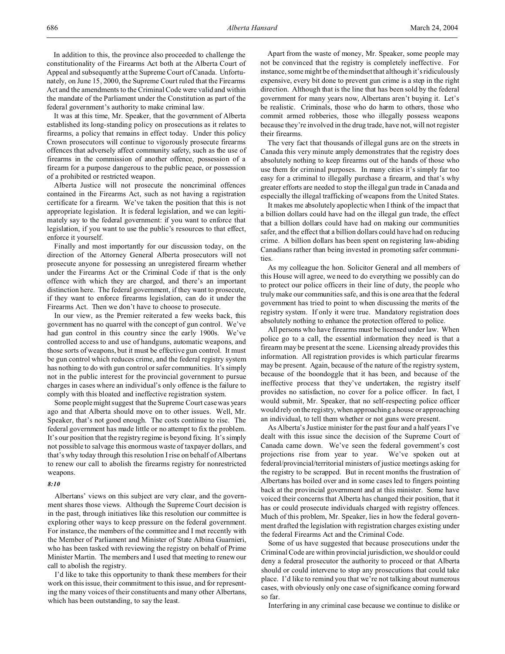It was at this time, Mr. Speaker, that the government of Alberta established its long-standing policy on prosecutions as it relates to firearms, a policy that remains in effect today. Under this policy Crown prosecutors will continue to vigorously prosecute firearms offences that adversely affect community safety, such as the use of firearms in the commission of another offence, possession of a firearm for a purpose dangerous to the public peace, or possession of a prohibited or restricted weapon.

Alberta Justice will not prosecute the noncriminal offences contained in the Firearms Act, such as not having a registration certificate for a firearm. We've taken the position that this is not appropriate legislation. It is federal legislation, and we can legitimately say to the federal government: if you want to enforce that legislation, if you want to use the public's resources to that effect, enforce it yourself.

Finally and most importantly for our discussion today, on the direction of the Attorney General Alberta prosecutors will not prosecute anyone for possessing an unregistered firearm whether under the Firearms Act or the Criminal Code if that is the only offence with which they are charged, and there's an important distinction here. The federal government, if they want to prosecute, if they want to enforce firearms legislation, can do it under the Firearms Act. Then we don't have to choose to prosecute.

In our view, as the Premier reiterated a few weeks back, this government has no quarrel with the concept of gun control. We've had gun control in this country since the early 1900s. We've controlled access to and use of handguns, automatic weapons, and those sorts of weapons, but it must be effective gun control. It must be gun control which reduces crime, and the federal registry system has nothing to do with gun control or safer communities. It's simply not in the public interest for the provincial government to pursue charges in cases where an individual's only offence is the failure to comply with this bloated and ineffective registration system.

Some people might suggest that the Supreme Court case was years ago and that Alberta should move on to other issues. Well, Mr. Speaker, that's not good enough. The costs continue to rise. The federal government has made little or no attempt to fix the problem. It's our position that the registry regime is beyond fixing. It's simply not possible to salvage this enormous waste of taxpayer dollars, and that's why today through this resolution I rise on behalf of Albertans to renew our call to abolish the firearms registry for nonrestricted weapons.

# *8:10*

Albertans' views on this subject are very clear, and the government shares those views. Although the Supreme Court decision is in the past, through initiatives like this resolution our committee is exploring other ways to keep pressure on the federal government. For instance, the members of the committee and I met recently with the Member of Parliament and Minister of State Albina Guarnieri, who has been tasked with reviewing the registry on behalf of Prime Minister Martin. The members and I used that meeting to renew our call to abolish the registry.

I'd like to take this opportunity to thank these members for their work on this issue, their commitment to this issue, and for representing the many voices of their constituents and many other Albertans, which has been outstanding, to say the least.

Apart from the waste of money, Mr. Speaker, some people may not be convinced that the registry is completely ineffective. For instance, some might be of the mindset that although it's ridiculously expensive, every bit done to prevent gun crime is a step in the right direction. Although that is the line that has been sold by the federal government for many years now, Albertans aren't buying it. Let's be realistic. Criminals, those who do harm to others, those who commit armed robberies, those who illegally possess weapons because they're involved in the drug trade, have not, will not register their firearms.

The very fact that thousands of illegal guns are on the streets in Canada this very minute amply demonstrates that the registry does absolutely nothing to keep firearms out of the hands of those who use them for criminal purposes. In many cities it's simply far too easy for a criminal to illegally purchase a firearm, and that's why greater efforts are needed to stop the illegal gun trade in Canada and especially the illegal trafficking of weapons from the United States.

It makes me absolutely apoplectic when I think of the impact that a billion dollars could have had on the illegal gun trade, the effect that a billion dollars could have had on making our communities safer, and the effect that a billion dollars could have had on reducing crime. A billion dollars has been spent on registering law-abiding Canadians rather than being invested in promoting safer communities.

As my colleague the hon. Solicitor General and all members of this House will agree, we need to do everything we possibly can do to protect our police officers in their line of duty, the people who truly make our communities safe, and this is one area that the federal government has tried to point to when discussing the merits of the registry system. If only it were true. Mandatory registration does absolutely nothing to enhance the protection offered to police.

All persons who have firearms must be licensed under law. When police go to a call, the essential information they need is that a firearm may be present at the scene. Licensing already provides this information. All registration provides is which particular firearms may be present. Again, because of the nature of the registry system, because of the boondoggle that it has been, and because of the ineffective process that they've undertaken, the registry itself provides no satisfaction, no cover for a police officer. In fact, I would submit, Mr. Speaker, that no self-respecting police officer would rely on the registry, when approaching a house or approaching an individual, to tell them whether or not guns were present.

As Alberta's Justice minister for the past four and a half years I've dealt with this issue since the decision of the Supreme Court of Canada came down. We've seen the federal government's cost projections rise from year to year. We've spoken out at federal/provincial/territorial ministers of justice meetings asking for the registry to be scrapped. But in recent months the frustration of Albertans has boiled over and in some cases led to fingers pointing back at the provincial government and at this minister. Some have voiced their concerns that Alberta has changed their position, that it has or could prosecute individuals charged with registry offences. Much of this problem, Mr. Speaker, lies in how the federal government drafted the legislation with registration charges existing under the federal Firearms Act and the Criminal Code.

Some of us have suggested that because prosecutions under the Criminal Code are within provincial jurisdiction, we should or could deny a federal prosecutor the authority to proceed or that Alberta should or could intervene to stop any prosecutions that could take place. I'd like to remind you that we're not talking about numerous cases, with obviously only one case of significance coming forward so far.

Interfering in any criminal case because we continue to dislike or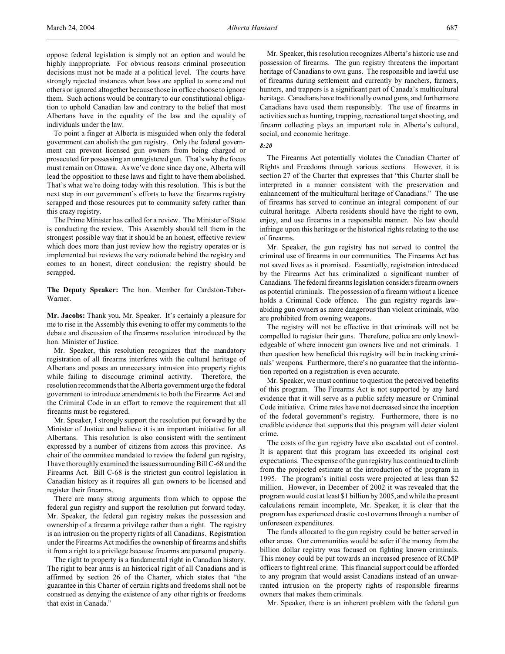oppose federal legislation is simply not an option and would be highly inappropriate. For obvious reasons criminal prosecution decisions must not be made at a political level. The courts have strongly rejected instances when laws are applied to some and not others or ignored altogether because those in office choose to ignore them. Such actions would be contrary to our constitutional obligation to uphold Canadian law and contrary to the belief that most Albertans have in the equality of the law and the equality of individuals under the law.

To point a finger at Alberta is misguided when only the federal government can abolish the gun registry. Only the federal government can prevent licensed gun owners from being charged or prosecuted for possessing an unregistered gun. That's why the focus must remain on Ottawa. As we've done since day one, Alberta will lead the opposition to these laws and fight to have them abolished. That's what we're doing today with this resolution. This is but the next step in our government's efforts to have the firearms registry scrapped and those resources put to community safety rather than this crazy registry.

The Prime Minister has called for a review. The Minister of State is conducting the review. This Assembly should tell them in the strongest possible way that it should be an honest, effective review which does more than just review how the registry operates or is implemented but reviews the very rationale behind the registry and comes to an honest, direct conclusion: the registry should be scrapped.

**The Deputy Speaker:** The hon. Member for Cardston-Taber-Warner.

**Mr. Jacobs:** Thank you, Mr. Speaker. It's certainly a pleasure for me to rise in the Assembly this evening to offer my comments to the debate and discussion of the firearms resolution introduced by the hon. Minister of Justice.

Mr. Speaker, this resolution recognizes that the mandatory registration of all firearms interferes with the cultural heritage of Albertans and poses an unnecessary intrusion into property rights while failing to discourage criminal activity. Therefore, the resolution recommends that the Alberta government urge the federal government to introduce amendments to both the Firearms Act and the Criminal Code in an effort to remove the requirement that all firearms must be registered.

Mr. Speaker, I strongly support the resolution put forward by the Minister of Justice and believe it is an important initiative for all Albertans. This resolution is also consistent with the sentiment expressed by a number of citizens from across this province. As chair of the committee mandated to review the federal gun registry, I have thoroughly examined the issues surrounding Bill C-68 and the Firearms Act. Bill C-68 is the strictest gun control legislation in Canadian history as it requires all gun owners to be licensed and register their firearms.

There are many strong arguments from which to oppose the federal gun registry and support the resolution put forward today. Mr. Speaker, the federal gun registry makes the possession and ownership of a firearm a privilege rather than a right. The registry is an intrusion on the property rights of all Canadians. Registration under the Firearms Act modifies the ownership of firearms and shifts it from a right to a privilege because firearms are personal property.

The right to property is a fundamental right in Canadian history. The right to bear arms is an historical right of all Canadians and is affirmed by section 26 of the Charter, which states that "the guarantee in this Charter of certain rights and freedoms shall not be construed as denying the existence of any other rights or freedoms that exist in Canada."

Mr. Speaker, this resolution recognizes Alberta's historic use and possession of firearms. The gun registry threatens the important heritage of Canadians to own guns. The responsible and lawful use of firearms during settlement and currently by ranchers, farmers, hunters, and trappers is a significant part of Canada's multicultural heritage. Canadians have traditionally owned guns, and furthermore Canadians have used them responsibly. The use of firearms in activities such as hunting, trapping, recreational target shooting, and firearm collecting plays an important role in Alberta's cultural, social, and economic heritage.

### *8:20*

The Firearms Act potentially violates the Canadian Charter of Rights and Freedoms through various sections. However, it is section 27 of the Charter that expresses that "this Charter shall be interpreted in a manner consistent with the preservation and enhancement of the multicultural heritage of Canadians." The use of firearms has served to continue an integral component of our cultural heritage. Alberta residents should have the right to own, enjoy, and use firearms in a responsible manner. No law should infringe upon this heritage or the historical rights relating to the use of firearms.

Mr. Speaker, the gun registry has not served to control the criminal use of firearms in our communities. The Firearms Act has not saved lives as it promised. Essentially, registration introduced by the Firearms Act has criminalized a significant number of Canadians. The federal firearms legislation considers firearm owners as potential criminals. The possession of a firearm without a licence holds a Criminal Code offence. The gun registry regards lawabiding gun owners as more dangerous than violent criminals, who are prohibited from owning weapons.

The registry will not be effective in that criminals will not be compelled to register their guns. Therefore, police are only knowledgeable of where innocent gun owners live and not criminals. I then question how beneficial this registry will be in tracking criminals' weapons. Furthermore, there's no guarantee that the information reported on a registration is even accurate.

Mr. Speaker, we must continue to question the perceived benefits of this program. The Firearms Act is not supported by any hard evidence that it will serve as a public safety measure or Criminal Code initiative. Crime rates have not decreased since the inception of the federal government's registry. Furthermore, there is no credible evidence that supports that this program will deter violent crime.

The costs of the gun registry have also escalated out of control. It is apparent that this program has exceeded its original cost expectations. The expense of the gun registry has continued to climb from the projected estimate at the introduction of the program in 1995. The program's initial costs were projected at less than \$2 million. However, in December of 2002 it was revealed that the program would cost at least \$1 billion by 2005, and while the present calculations remain incomplete, Mr. Speaker, it is clear that the program has experienced drastic cost overruns through a number of unforeseen expenditures.

The funds allocated to the gun registry could be better served in other areas. Our communities would be safer if the money from the billion dollar registry was focused on fighting known criminals. This money could be put towards an increased presence of RCMP officers to fight real crime. This financial support could be afforded to any program that would assist Canadians instead of an unwarranted intrusion on the property rights of responsible firearms owners that makes them criminals.

Mr. Speaker, there is an inherent problem with the federal gun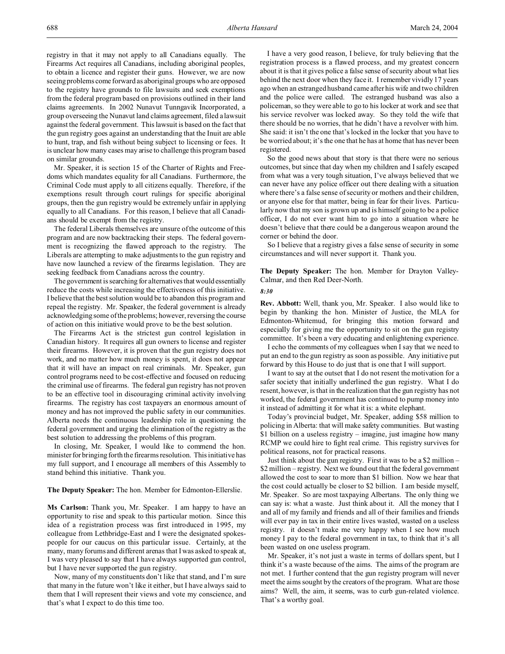registry in that it may not apply to all Canadians equally. The Firearms Act requires all Canadians, including aboriginal peoples, to obtain a licence and register their guns. However, we are now seeing problems come forward as aboriginal groups who are opposed to the registry have grounds to file lawsuits and seek exemptions from the federal program based on provisions outlined in their land claims agreements. In 2002 Nunavut Tunngavik Incorporated, a group overseeing the Nunavut land claims agreement, filed a lawsuit against the federal government. This lawsuit is based on the fact that the gun registry goes against an understanding that the Inuit are able to hunt, trap, and fish without being subject to licensing or fees. It is unclear how many cases may arise to challenge this program based on similar grounds.

Mr. Speaker, it is section 15 of the Charter of Rights and Freedoms which mandates equality for all Canadians. Furthermore, the Criminal Code must apply to all citizens equally. Therefore, if the exemptions result through court rulings for specific aboriginal groups, then the gun registry would be extremely unfair in applying equally to all Canadians. For this reason, I believe that all Canadians should be exempt from the registry.

The federal Liberals themselves are unsure of the outcome of this program and are now backtracking their steps. The federal government is recognizing the flawed approach to the registry. The Liberals are attempting to make adjustments to the gun registry and have now launched a review of the firearms legislation. They are seeking feedback from Canadians across the country.

The government is searching for alternatives that would essentially reduce the costs while increasing the effectiveness of this initiative. I believe that the best solution would be to abandon this program and repeal the registry. Mr. Speaker, the federal government is already acknowledging some of the problems; however, reversing the course of action on this initiative would prove to be the best solution.

The Firearms Act is the strictest gun control legislation in Canadian history. It requires all gun owners to license and register their firearms. However, it is proven that the gun registry does not work, and no matter how much money is spent, it does not appear that it will have an impact on real criminals. Mr. Speaker, gun control programs need to be cost-effective and focused on reducing the criminal use of firearms. The federal gun registry has not proven to be an effective tool in discouraging criminal activity involving firearms. The registry has cost taxpayers an enormous amount of money and has not improved the public safety in our communities. Alberta needs the continuous leadership role in questioning the federal government and urging the elimination of the registry as the best solution to addressing the problems of this program.

In closing, Mr. Speaker, I would like to commend the hon. minister for bringing forth the firearms resolution. This initiative has my full support, and I encourage all members of this Assembly to stand behind this initiative. Thank you.

#### **The Deputy Speaker:** The hon. Member for Edmonton-Ellerslie.

**Ms Carlson:** Thank you, Mr. Speaker. I am happy to have an opportunity to rise and speak to this particular motion. Since this idea of a registration process was first introduced in 1995, my colleague from Lethbridge-East and I were the designated spokespeople for our caucus on this particular issue. Certainly, at the many, many forums and different arenas that I was asked to speak at, I was very pleased to say that I have always supported gun control, but I have never supported the gun registry.

Now, many of my constituents don't like that stand, and I'm sure that many in the future won't like it either, but I have always said to them that I will represent their views and vote my conscience, and that's what I expect to do this time too.

I have a very good reason, I believe, for truly believing that the registration process is a flawed process, and my greatest concern about it is that it gives police a false sense of security about what lies behind the next door when they face it. I remember vividly 17 years ago when an estranged husband came after his wife and two children and the police were called. The estranged husband was also a policeman, so they were able to go to his locker at work and see that his service revolver was locked away. So they told the wife that there should be no worries, that he didn't have a revolver with him. She said: it isn't the one that's locked in the locker that you have to be worried about; it's the one that he has at home that has never been registered.

So the good news about that story is that there were no serious outcomes, but since that day when my children and I safely escaped from what was a very tough situation, I've always believed that we can never have any police officer out there dealing with a situation where there's a false sense of security or mothers and their children, or anyone else for that matter, being in fear for their lives. Particularly now that my son is grown up and is himself going to be a police officer, I do not ever want him to go into a situation where he doesn't believe that there could be a dangerous weapon around the corner or behind the door.

So I believe that a registry gives a false sense of security in some circumstances and will never support it. Thank you.

**The Deputy Speaker:** The hon. Member for Drayton Valley-Calmar, and then Red Deer-North.

#### *8:30*

**Rev. Abbott:** Well, thank you, Mr. Speaker. I also would like to begin by thanking the hon. Minister of Justice, the MLA for Edmonton-Whitemud, for bringing this motion forward and especially for giving me the opportunity to sit on the gun registry committee. It's been a very educating and enlightening experience.

I echo the comments of my colleagues when I say that we need to put an end to the gun registry as soon as possible. Any initiative put forward by this House to do just that is one that I will support.

I want to say at the outset that I do not resent the motivation for a safer society that initially underlined the gun registry. What I do resent, however, is that in the realization that the gun registry has not worked, the federal government has continued to pump money into it instead of admitting it for what it is: a white elephant.

Today's provincial budget, Mr. Speaker, adding \$58 million to policing in Alberta: that will make safety communities. But wasting \$1 billion on a useless registry – imagine, just imagine how many RCMP we could hire to fight real crime. This registry survives for political reasons, not for practical reasons.

Just think about the gun registry. First it was to be a \$2 million – \$2 million – registry. Next we found out that the federal government allowed the cost to soar to more than \$1 billion. Now we hear that the cost could actually be closer to \$2 billion. I am beside myself, Mr. Speaker. So are most taxpaying Albertans. The only thing we can say is: what a waste. Just think about it. All the money that I and all of my family and friends and all of their families and friends will ever pay in tax in their entire lives wasted, wasted on a useless registry. it doesn't make me very happy when I see how much money I pay to the federal government in tax, to think that it's all been wasted on one useless program.

Mr. Speaker, it's not just a waste in terms of dollars spent, but I think it's a waste because of the aims. The aims of the program are not met. I further contend that the gun registry program will never meet the aims sought by the creators of the program. What are those aims? Well, the aim, it seems, was to curb gun-related violence. That's a worthy goal.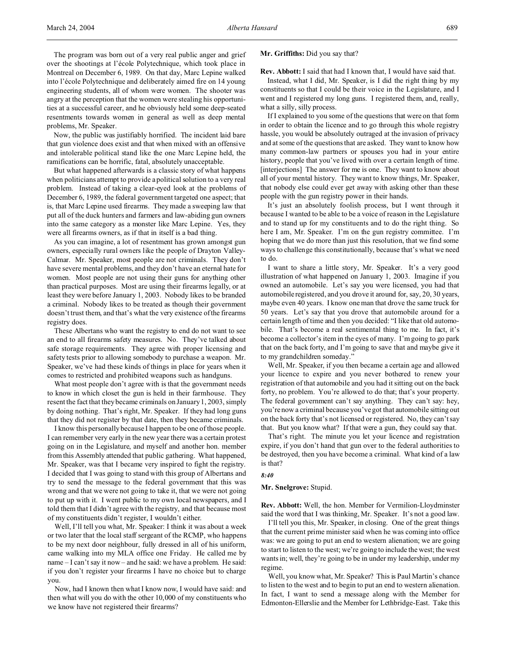The program was born out of a very real public anger and grief over the shootings at l'école Polytechnique, which took place in Montreal on December 6, 1989. On that day, Marc Lepine walked into l'école Polytechnique and deliberately aimed fire on 14 young engineering students, all of whom were women. The shooter was angry at the perception that the women were stealing his opportunities at a successful career, and he obviously held some deep-seated resentments towards women in general as well as deep mental problems, Mr. Speaker.

Now, the public was justifiably horrified. The incident laid bare that gun violence does exist and that when mixed with an offensive and intolerable political stand like the one Marc Lepine held, the ramifications can be horrific, fatal, absolutely unacceptable.

But what happened afterwards is a classic story of what happens when politicians attempt to provide a political solution to a very real problem. Instead of taking a clear-eyed look at the problems of December 6, 1989, the federal government targeted one aspect; that is, that Marc Lepine used firearms. They made a sweeping law that put all of the duck hunters and farmers and law-abiding gun owners into the same category as a monster like Marc Lepine. Yes, they were all firearms owners, as if that in itself is a bad thing.

As you can imagine, a lot of resentment has grown amongst gun owners, especially rural owners like the people of Drayton Valley-Calmar. Mr. Speaker, most people are not criminals. They don't have severe mental problems, and they don't have an eternal hate for women. Most people are not using their guns for anything other than practical purposes. Most are using their firearms legally, or at least they were before January 1, 2003. Nobody likes to be branded a criminal. Nobody likes to be treated as though their government doesn't trust them, and that's what the very existence of the firearms registry does.

These Albertans who want the registry to end do not want to see an end to all firearms safety measures. No. They've talked about safe storage requirements. They agree with proper licensing and safety tests prior to allowing somebody to purchase a weapon. Mr. Speaker, we've had these kinds of things in place for years when it comes to restricted and prohibited weapons such as handguns.

What most people don't agree with is that the government needs to know in which closet the gun is held in their farmhouse. They resent the fact that they became criminals on January 1, 2003, simply by doing nothing. That's right, Mr. Speaker. If they had long guns that they did not register by that date, then they became criminals.

I know this personally because I happen to be one of those people. I can remember very early in the new year there was a certain protest going on in the Legislature, and myself and another hon. member from this Assembly attended that public gathering. What happened, Mr. Speaker, was that I became very inspired to fight the registry. I decided that I was going to stand with this group of Albertans and try to send the message to the federal government that this was wrong and that we were not going to take it, that we were not going to put up with it. I went public to my own local newspapers, and I told them that I didn't agree with the registry, and that because most of my constituents didn't register, I wouldn't either.

Well, I'll tell you what, Mr. Speaker: I think it was about a week or two later that the local staff sergeant of the RCMP, who happens to be my next door neighbour, fully dressed in all of his uniform, came walking into my MLA office one Friday. He called me by name – I can't say it now – and he said: we have a problem. He said: if you don't register your firearms I have no choice but to charge you.

Now, had I known then what I know now, I would have said: and then what will you do with the other 10,000 of my constituents who we know have not registered their firearms?

#### **Mr. Griffiths:** Did you say that?

**Rev. Abbott:** I said that had I known that, I would have said that.

Instead, what I did, Mr. Speaker, is I did the right thing by my constituents so that I could be their voice in the Legislature, and I went and I registered my long guns. I registered them, and, really, what a silly, silly process.

If I explained to you some of the questions that were on that form in order to obtain the licence and to go through this whole registry hassle, you would be absolutely outraged at the invasion of privacy and at some of the questions that are asked. They want to know how many common-law partners or spouses you had in your entire history, people that you've lived with over a certain length of time. [interjections] The answer for me is one. They want to know about all of your mental history. They want to know things, Mr. Speaker, that nobody else could ever get away with asking other than these people with the gun registry power in their hands.

It's just an absolutely foolish process, but I went through it because I wanted to be able to be a voice of reason in the Legislature and to stand up for my constituents and to do the right thing. So here I am, Mr. Speaker. I'm on the gun registry committee. I'm hoping that we do more than just this resolution, that we find some ways to challenge this constitutionally, because that's what we need to do.

I want to share a little story, Mr. Speaker. It's a very good illustration of what happened on January 1, 2003. Imagine if you owned an automobile. Let's say you were licensed, you had that automobile registered, and you drove it around for, say, 20, 30 years, maybe even 40 years. I know one man that drove the same truck for 50 years. Let's say that you drove that automobile around for a certain length of time and then you decided: "I like that old automobile. That's become a real sentimental thing to me. In fact, it's become a collector's item in the eyes of many. I'm going to go park that on the back forty, and I'm going to save that and maybe give it to my grandchildren someday."

Well, Mr. Speaker, if you then became a certain age and allowed your licence to expire and you never bothered to renew your registration of that automobile and you had it sitting out on the back forty, no problem. You're allowed to do that; that's your property. The federal government can't say anything. They can't say: hey, you're now a criminal because you've got that automobile sitting out on the back forty that's not licensed or registered. No, they can't say that. But you know what? If that were a gun, they could say that.

That's right. The minute you let your licence and registration expire, if you don't hand that gun over to the federal authorities to be destroyed, then you have become a criminal. What kind of a law is that?

### *8:40*

**Mr. Snelgrove:** Stupid.

**Rev. Abbott:** Well, the hon. Member for Vermilion-Lloydminster said the word that I was thinking, Mr. Speaker. It's not a good law.

I'll tell you this, Mr. Speaker, in closing. One of the great things that the current prime minister said when he was coming into office was: we are going to put an end to western alienation; we are going to start to listen to the west; we're going to include the west; the west wants in; well, they're going to be in under my leadership, under my regime.

Well, you know what, Mr. Speaker? This is Paul Martin's chance to listen to the west and to begin to put an end to western alienation. In fact, I want to send a message along with the Member for Edmonton-Ellerslie and the Member for Lethbridge-East. Take this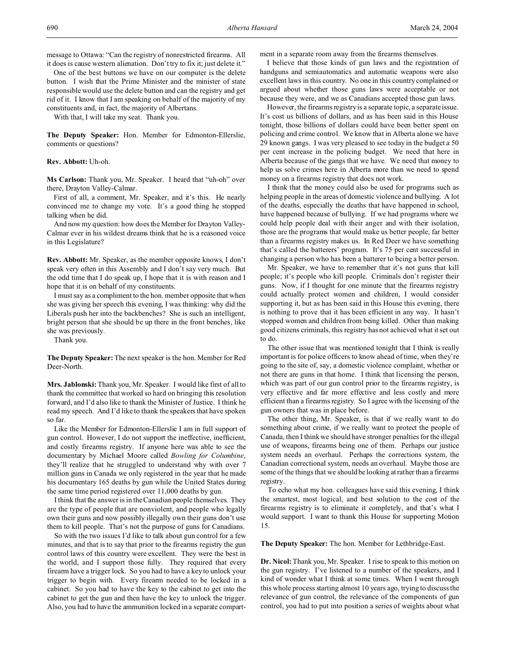message to Ottawa: "Can the registry of nonrestricted firearms. All it does is cause western alienation. Don't try to fix it; just delete it."

One of the best buttons we have on our computer is the delete button. I wish that the Prime Minister and the minister of state responsible would use the delete button and can the registry and get rid of it. I know that I am speaking on behalf of the majority of my constituents and, in fact, the majority of Albertans.

With that, I will take my seat. Thank you.

**The Deputy Speaker:** Hon. Member for Edmonton-Ellerslie, comments or questions?

# **Rev. Abbott:** Uh-oh.

**Ms Carlson:** Thank you, Mr. Speaker. I heard that "uh-oh" over there, Drayton Valley-Calmar.

First of all, a comment, Mr. Speaker, and it's this. He nearly convinced me to change my vote. It's a good thing he stopped talking when he did.

And now my question: how does the Member for Drayton Valley-Calmar ever in his wildest dreams think that he is a reasoned voice in this Legislature?

**Rev. Abbott:** Mr. Speaker, as the member opposite knows, I don't speak very often in this Assembly and I don't say very much. But the odd time that I do speak up, I hope that it is with reason and I hope that it is on behalf of my constituents.

I must say as a compliment to the hon. member opposite that when she was giving her speech this evening, I was thinking: why did the Liberals push her into the backbenches? She is such an intelligent, bright person that she should be up there in the front benches, like she was previously.

Thank you.

**The Deputy Speaker:** The next speaker is the hon. Member for Red Deer-North.

**Mrs. Jablonski:** Thank you, Mr. Speaker. I would like first of all to thank the committee that worked so hard on bringing this resolution forward, and I'd also like to thank the Minister of Justice. I think he read my speech. And I'd like to thank the speakers that have spoken so far.

Like the Member for Edmonton-Ellerslie I am in full support of gun control. However, I do not support the ineffective, inefficient, and costly firearms registry. If anyone here was able to see the documentary by Michael Moore called *Bowling for Columbine*, they'll realize that he struggled to understand why with over 7 million guns in Canada we only registered in the year that he made his documentary 165 deaths by gun while the United States during the same time period registered over 11,000 deaths by gun.

I think that the answer is in the Canadian people themselves. They are the type of people that are nonviolent, and people who legally own their guns and now possibly illegally own their guns don't use them to kill people. That's not the purpose of guns for Canadians.

So with the two issues I'd like to talk about gun control for a few minutes, and that is to say that prior to the firearms registry the gun control laws of this country were excellent. They were the best in the world, and I support those fully. They required that every firearm have a trigger lock. So you had to have a key to unlock your trigger to begin with. Every firearm needed to be locked in a cabinet. So you had to have the key to the cabinet to get into the cabinet to get the gun and then have the key to unlock the trigger. Also, you had to have the ammunition locked in a separate compartment in a separate room away from the firearms themselves.

I believe that those kinds of gun laws and the registration of handguns and semiautomatics and automatic weapons were also excellent laws in this country. No one in this country complained or argued about whether those guns laws were acceptable or not because they were, and we as Canadians accepted those gun laws.

However, the firearms registry is a separate topic, a separate issue. It's cost us billions of dollars, and as has been said in this House tonight, those billions of dollars could have been better spent on policing and crime control. We know that in Alberta alone we have 29 known gangs. I was very pleased to see today in the budget a 50 per cent increase in the policing budget. We need that here in Alberta because of the gangs that we have. We need that money to help us solve crimes here in Alberta more than we need to spend money on a firearms registry that does not work.

I think that the money could also be used for programs such as helping people in the areas of domestic violence and bullying. A lot of the deaths, especially the deaths that have happened in school, have happened because of bullying. If we had programs where we could help people deal with their anger and with their isolation, those are the programs that would make us better people, far better than a firearms registry makes us. In Red Deer we have something that's called the batterers' program. It's 75 per cent successful in changing a person who has been a batterer to being a better person.

Mr. Speaker, we have to remember that it's not guns that kill people; it's people who kill people. Criminals don't register their guns. Now, if I thought for one minute that the firearms registry could actually protect women and children, I would consider supporting it, but as has been said in this House this evening, there is nothing to prove that it has been efficient in any way. It hasn't stopped women and children from being killed. Other than making good citizens criminals, this registry has not achieved what it set out to do.

The other issue that was mentioned tonight that I think is really important is for police officers to know ahead of time, when they're going to the site of, say, a domestic violence complaint, whether or not there are guns in that home. I think that licensing the person, which was part of our gun control prior to the firearms registry, is very effective and far more effective and less costly and more efficient than a firearms registry. So I agree with the licensing of the gun owners that was in place before.

The other thing, Mr. Speaker, is that if we really want to do something about crime, if we really want to protect the people of Canada, then I think we should have stronger penalties for the illegal use of weapons, firearms being one of them. Perhaps our justice system needs an overhaul. Perhaps the corrections system, the Canadian correctional system, needs an overhaul. Maybe those are some of the things that we should be looking at rather than a firearms registry.

To echo what my hon. colleagues have said this evening, I think the smartest, most logical, and best solution to the cost of the firearms registry is to eliminate it completely, and that's what I would support. I want to thank this House for supporting Motion 15.

**The Deputy Speaker:** The hon. Member for Lethbridge-East.

**Dr. Nicol:** Thank you, Mr. Speaker. I rise to speak to this motion on the gun registry. I've listened to a number of the speakers, and I kind of wonder what I think at some times. When I went through this whole process starting almost 10 years ago, trying to discuss the relevance of gun control, the relevance of the components of gun control, you had to put into position a series of weights about what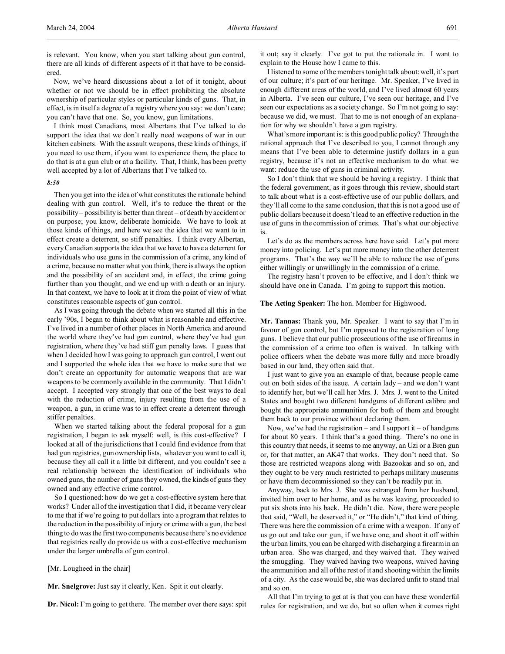Now, we've heard discussions about a lot of it tonight, about whether or not we should be in effect prohibiting the absolute ownership of particular styles or particular kinds of guns. That, in effect, is in itself a degree of a registry where you say: we don't care; you can't have that one. So, you know, gun limitations.

I think most Canadians, most Albertans that I've talked to do support the idea that we don't really need weapons of war in our kitchen cabinets. With the assault weapons, these kinds of things, if you need to use them, if you want to experience them, the place to do that is at a gun club or at a facility. That, I think, has been pretty well accepted by a lot of Albertans that I've talked to.

#### *8:50*

ered.

Then you get into the idea of what constitutes the rationale behind dealing with gun control. Well, it's to reduce the threat or the possibility – possibility is better than threat – of death by accident or on purpose; you know, deliberate homicide. We have to look at those kinds of things, and here we see the idea that we want to in effect create a deterrent, so stiff penalties. I think every Albertan, every Canadian supports the idea that we have to have a deterrent for individuals who use guns in the commission of a crime, any kind of a crime, because no matter what you think, there is always the option and the possibility of an accident and, in effect, the crime going further than you thought, and we end up with a death or an injury. In that context, we have to look at it from the point of view of what constitutes reasonable aspects of gun control.

As I was going through the debate when we started all this in the early '90s, I began to think about what is reasonable and effective. I've lived in a number of other places in North America and around the world where they've had gun control, where they've had gun registration, where they've had stiff gun penalty laws. I guess that when I decided how I was going to approach gun control, I went out and I supported the whole idea that we have to make sure that we don't create an opportunity for automatic weapons that are war weapons to be commonly available in the community. That I didn't accept. I accepted very strongly that one of the best ways to deal with the reduction of crime, injury resulting from the use of a weapon, a gun, in crime was to in effect create a deterrent through stiffer penalties.

When we started talking about the federal proposal for a gun registration, I began to ask myself: well, is this cost-effective? I looked at all of the jurisdictions that I could find evidence from that had gun registries, gun ownership lists, whatever you want to call it, because they all call it a little bit different, and you couldn't see a real relationship between the identification of individuals who owned guns, the number of guns they owned, the kinds of guns they owned and any effective crime control.

So I questioned: how do we get a cost-effective system here that works? Under all of the investigation that I did, it became very clear to me that if we're going to put dollars into a program that relates to the reduction in the possibility of injury or crime with a gun, the best thing to do was the first two components because there's no evidence that registries really do provide us with a cost-effective mechanism under the larger umbrella of gun control.

[Mr. Lougheed in the chair]

**Mr. Snelgrove:** Just say it clearly, Ken. Spit it out clearly.

**Dr. Nicol:** I'm going to get there. The member over there says: spit

it out; say it clearly. I've got to put the rationale in. I want to explain to the House how I came to this.

I listened to some of the members tonight talk about: well, it's part of our culture; it's part of our heritage. Mr. Speaker, I've lived in enough different areas of the world, and I've lived almost 60 years in Alberta. I've seen our culture, I've seen our heritage, and I've seen our expectations as a society change. So I'm not going to say: because we did, we must. That to me is not enough of an explanation for why we shouldn't have a gun registry.

What's more important is: is this good public policy? Through the rational approach that I've described to you, I cannot through any means that I've been able to determine justify dollars in a gun registry, because it's not an effective mechanism to do what we want: reduce the use of guns in criminal activity.

So I don't think that we should be having a registry. I think that the federal government, as it goes through this review, should start to talk about what is a cost-effective use of our public dollars, and they'll all come to the same conclusion, that this is not a good use of public dollars because it doesn't lead to an effective reduction in the use of guns in the commission of crimes. That's what our objective is.

Let's do as the members across here have said. Let's put more money into policing. Let's put more money into the other deterrent programs. That's the way we'll be able to reduce the use of guns either willingly or unwillingly in the commission of a crime.

The registry hasn't proven to be effective, and I don't think we should have one in Canada. I'm going to support this motion.

# **The Acting Speaker:** The hon. Member for Highwood.

**Mr. Tannas:** Thank you, Mr. Speaker. I want to say that I'm in favour of gun control, but I'm opposed to the registration of long guns. I believe that our public prosecutions of the use of firearms in the commission of a crime too often is waived. In talking with police officers when the debate was more fully and more broadly based in our land, they often said that.

I just want to give you an example of that, because people came out on both sides of the issue. A certain lady – and we don't want to identify her, but we'll call her Mrs. J. Mrs. J. went to the United States and bought two different handguns of different calibre and bought the appropriate ammunition for both of them and brought them back to our province without declaring them.

Now, we've had the registration – and I support it – of handguns for about 80 years. I think that's a good thing. There's no one in this country that needs, it seems to me anyway, an Uzi or a Bren gun or, for that matter, an AK47 that works. They don't need that. So those are restricted weapons along with Bazookas and so on, and they ought to be very much restricted to perhaps military museums or have them decommissioned so they can't be readily put in.

Anyway, back to Mrs. J. She was estranged from her husband, invited him over to her home, and as he was leaving, proceeded to put six shots into his back. He didn't die. Now, there were people that said, "Well, he deserved it," or "He didn't," that kind of thing. There was here the commission of a crime with a weapon. If any of us go out and take our gun, if we have one, and shoot it off within the urban limits, you can be charged with discharging a firearm in an urban area. She was charged, and they waived that. They waived the smuggling. They waived having two weapons, waived having the ammunition and all of the rest of it and shooting within the limits of a city. As the case would be, she was declared unfit to stand trial and so on.

All that I'm trying to get at is that you can have these wonderful rules for registration, and we do, but so often when it comes right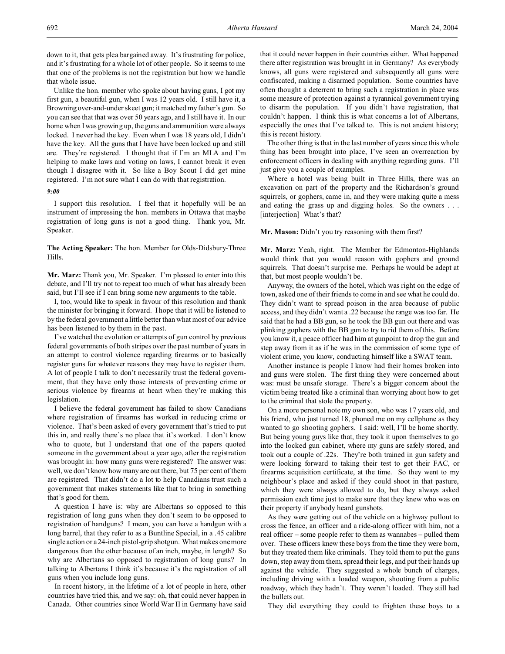down to it, that gets plea bargained away. It's frustrating for police, and it's frustrating for a whole lot of other people. So it seems to me that one of the problems is not the registration but how we handle that whole issue.

Unlike the hon. member who spoke about having guns, I got my first gun, a beautiful gun, when I was 12 years old. I still have it, a Browning over-and-under skeet gun; it matched my father's gun. So you can see that that was over 50 years ago, and I still have it. In our home when I was growing up, the guns and ammunition were always locked. I never had the key. Even when I was 18 years old, I didn't have the key. All the guns that I have have been locked up and still are. They're registered. I thought that if I'm an MLA and I'm helping to make laws and voting on laws, I cannot break it even though I disagree with it. So like a Boy Scout I did get mine registered. I'm not sure what I can do with that registration.

# *9:00*

I support this resolution. I feel that it hopefully will be an instrument of impressing the hon. members in Ottawa that maybe registration of long guns is not a good thing. Thank you, Mr. Speaker.

**The Acting Speaker:** The hon. Member for Olds-Didsbury-Three Hills.

**Mr. Marz:** Thank you, Mr. Speaker. I'm pleased to enter into this debate, and I'll try not to repeat too much of what has already been said, but I'll see if I can bring some new arguments to the table.

I, too, would like to speak in favour of this resolution and thank the minister for bringing it forward. I hope that it will be listened to by the federal government a little better than what most of our advice has been listened to by them in the past.

I've watched the evolution or attempts of gun control by previous federal governments of both stripes over the past number of years in an attempt to control violence regarding firearms or to basically register guns for whatever reasons they may have to register them. A lot of people I talk to don't necessarily trust the federal government, that they have only those interests of preventing crime or serious violence by firearms at heart when they're making this legislation.

I believe the federal government has failed to show Canadians where registration of firearms has worked in reducing crime or violence. That's been asked of every government that's tried to put this in, and really there's no place that it's worked. I don't know who to quote, but I understand that one of the papers quoted someone in the government about a year ago, after the registration was brought in: how many guns were registered? The answer was: well, we don't know how many are out there, but 75 per cent of them are registered. That didn't do a lot to help Canadians trust such a government that makes statements like that to bring in something that's good for them.

A question I have is: why are Albertans so opposed to this registration of long guns when they don't seem to be opposed to registration of handguns? I mean, you can have a handgun with a long barrel, that they refer to as a Buntline Special, in a .45 calibre single action or a 24-inch pistol-grip shotgun. What makes one more dangerous than the other because of an inch, maybe, in length? So why are Albertans so opposed to registration of long guns? In talking to Albertans I think it's because it's the registration of all guns when you include long guns.

In recent history, in the lifetime of a lot of people in here, other countries have tried this, and we say: oh, that could never happen in Canada. Other countries since World War II in Germany have said that it could never happen in their countries either. What happened there after registration was brought in in Germany? As everybody knows, all guns were registered and subsequently all guns were confiscated, making a disarmed population. Some countries have often thought a deterrent to bring such a registration in place was some measure of protection against a tyrannical government trying to disarm the population. If you didn't have registration, that couldn't happen. I think this is what concerns a lot of Albertans, especially the ones that I've talked to. This is not ancient history; this is recent history.

The other thing is that in the last number of years since this whole thing has been brought into place, I've seen an overreaction by enforcement officers in dealing with anything regarding guns. I'll just give you a couple of examples.

Where a hotel was being built in Three Hills, there was an excavation on part of the property and the Richardson's ground squirrels, or gophers, came in, and they were making quite a mess and eating the grass up and digging holes. So the owners . . . [interjection] What's that?

#### **Mr. Mason:** Didn't you try reasoning with them first?

**Mr. Marz:** Yeah, right. The Member for Edmonton-Highlands would think that you would reason with gophers and ground squirrels. That doesn't surprise me. Perhaps he would be adept at that, but most people wouldn't be.

Anyway, the owners of the hotel, which was right on the edge of town, asked one of their friends to come in and see what he could do. They didn't want to spread poison in the area because of public access, and they didn't want a .22 because the range was too far. He said that he had a BB gun, so he took the BB gun out there and was plinking gophers with the BB gun to try to rid them of this. Before you know it, a peace officer had him at gunpoint to drop the gun and step away from it as if he was in the commission of some type of violent crime, you know, conducting himself like a SWAT team.

Another instance is people I know had their homes broken into and guns were stolen. The first thing they were concerned about was: must be unsafe storage. There's a bigger concern about the victim being treated like a criminal than worrying about how to get to the criminal that stole the property.

On a more personal note my own son, who was 17 years old, and his friend, who just turned 18, phoned me on my cellphone as they wanted to go shooting gophers. I said: well, I'll be home shortly. But being young guys like that, they took it upon themselves to go into the locked gun cabinet, where my guns are safely stored, and took out a couple of .22s. They're both trained in gun safety and were looking forward to taking their test to get their FAC, or firearms acquisition certificate, at the time. So they went to my neighbour's place and asked if they could shoot in that pasture, which they were always allowed to do, but they always asked permission each time just to make sure that they knew who was on their property if anybody heard gunshots.

As they were getting out of the vehicle on a highway pullout to cross the fence, an officer and a ride-along officer with him, not a real officer – some people refer to them as wannabes – pulled them over. These officers knew these boys from the time they were born, but they treated them like criminals. They told them to put the guns down, step away from them, spread their legs, and put their hands up against the vehicle. They suggested a whole bunch of charges, including driving with a loaded weapon, shooting from a public roadway, which they hadn't. They weren't loaded. They still had the bullets out.

They did everything they could to frighten these boys to a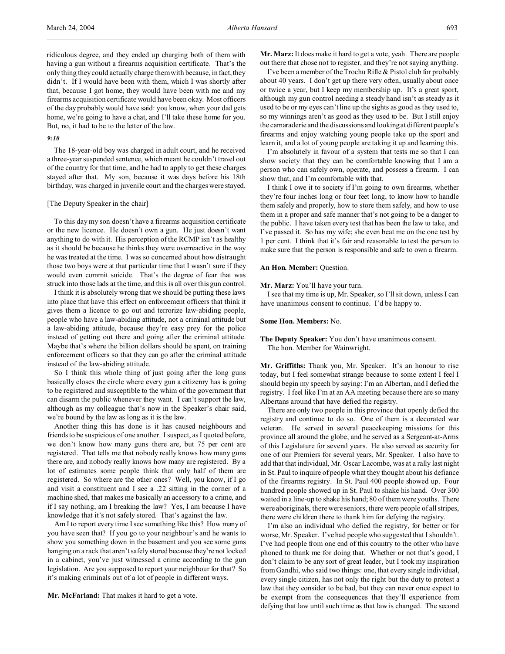ridiculous degree, and they ended up charging both of them with having a gun without a firearms acquisition certificate. That's the only thing they could actually charge them with because, in fact, they didn't. If I would have been with them, which I was shortly after that, because I got home, they would have been with me and my firearms acquisition certificate would have been okay. Most officers of the day probably would have said: you know, when your dad gets home, we're going to have a chat, and I'll take these home for you. But, no, it had to be to the letter of the law.

#### *9:10*

The 18-year-old boy was charged in adult court, and he received a three-year suspended sentence, which meant he couldn't travel out of the country for that time, and he had to apply to get these charges stayed after that. My son, because it was days before his 18th birthday, was charged in juvenile court and the charges were stayed.

# [The Deputy Speaker in the chair]

To this day my son doesn't have a firearms acquisition certificate or the new licence. He doesn't own a gun. He just doesn't want anything to do with it. His perception of the RCMP isn't as healthy as it should be because he thinks they were overreactive in the way he was treated at the time. I was so concerned about how distraught those two boys were at that particular time that I wasn't sure if they would even commit suicide. That's the degree of fear that was struck into those lads at the time, and this is all over this gun control.

I think it is absolutely wrong that we should be putting these laws into place that have this effect on enforcement officers that think it gives them a licence to go out and terrorize law-abiding people, people who have a law-abiding attitude, not a criminal attitude but a law-abiding attitude, because they're easy prey for the police instead of getting out there and going after the criminal attitude. Maybe that's where the billion dollars should be spent, on training enforcement officers so that they can go after the criminal attitude instead of the law-abiding attitude.

So I think this whole thing of just going after the long guns basically closes the circle where every gun a citizenry has is going to be registered and susceptible to the whim of the government that can disarm the public whenever they want. I can't support the law, although as my colleague that's now in the Speaker's chair said, we're bound by the law as long as it is the law.

Another thing this has done is it has caused neighbours and friends to be suspicious of one another. I suspect, as I quoted before, we don't know how many guns there are, but 75 per cent are registered. That tells me that nobody really knows how many guns there are, and nobody really knows how many are registered. By a lot of estimates some people think that only half of them are registered. So where are the other ones? Well, you know, if I go and visit a constituent and I see a .22 sitting in the corner of a machine shed, that makes me basically an accessory to a crime, and if I say nothing, am I breaking the law? Yes, I am because I have knowledge that it's not safely stored. That's against the law.

Am I to report every time I see something like this? How many of you have seen that? If you go to your neighbour's and he wants to show you something down in the basement and you see some guns hanging on a rack that aren't safely stored because they're not locked in a cabinet, you've just witnessed a crime according to the gun legislation. Are you supposed to report your neighbour for that? So it's making criminals out of a lot of people in different ways.

**Mr. McFarland:** That makes it hard to get a vote.

**Mr. Marz:** It does make it hard to get a vote, yeah. There are people out there that chose not to register, and they're not saying anything.

I've been a member of the Trochu Rifle & Pistol club for probably about 40 years. I don't get up there very often, usually about once or twice a year, but I keep my membership up. It's a great sport, although my gun control needing a steady hand isn't as steady as it used to be or my eyes can't line up the sights as good as they used to, so my winnings aren't as good as they used to be. But I still enjoy the camaraderie and the discussions and looking at different people's firearms and enjoy watching young people take up the sport and learn it, and a lot of young people are taking it up and learning this.

I'm absolutely in favour of a system that tests me so that I can show society that they can be comfortable knowing that I am a person who can safely own, operate, and possess a firearm. I can show that, and I'm comfortable with that.

I think I owe it to society if I'm going to own firearms, whether they're four inches long or four feet long, to know how to handle them safely and properly, how to store them safely, and how to use them in a proper and safe manner that's not going to be a danger to the public. I have taken every test that has been the law to take, and I've passed it. So has my wife; she even beat me on the one test by 1 per cent. I think that it's fair and reasonable to test the person to make sure that the person is responsible and safe to own a firearm.

#### **An Hon. Member:** Question.

#### **Mr. Marz:** You'll have your turn.

I see that my time is up, Mr. Speaker, so I'll sit down, unless I can have unanimous consent to continue. I'd be happy to.

## **Some Hon. Members:** No.

# **The Deputy Speaker:** You don't have unanimous consent. The hon. Member for Wainwright.

**Mr. Griffiths:** Thank you, Mr. Speaker. It's an honour to rise today, but I feel somewhat strange because to some extent I feel I should begin my speech by saying: I'm an Albertan, and I defied the registry. I feel like I'm at an AA meeting because there are so many Albertans around that have defied the registry.

There are only two people in this province that openly defied the registry and continue to do so. One of them is a decorated war veteran. He served in several peacekeeping missions for this province all around the globe, and he served as a Sergeant-at-Arms of this Legislature for several years. He also served as security for one of our Premiers for several years, Mr. Speaker. I also have to add that that individual, Mr. Oscar Lacombe, was at a rally last night in St. Paul to inquire of people what they thought about his defiance of the firearms registry. In St. Paul 400 people showed up. Four hundred people showed up in St. Paul to shake his hand. Over 300 waited in a line-up to shake his hand; 80 of them were youths. There were aboriginals, there were seniors, there were people of all stripes, there were children there to thank him for defying the registry.

I'm also an individual who defied the registry, for better or for worse, Mr. Speaker. I've had people who suggested that I shouldn't. I've had people from one end of this country to the other who have phoned to thank me for doing that. Whether or not that's good, I don't claim to be any sort of great leader, but I took my inspiration from Gandhi, who said two things: one, that every single individual, every single citizen, has not only the right but the duty to protest a law that they consider to be bad, but they can never once expect to be exempt from the consequences that they'll experience from defying that law until such time as that law is changed. The second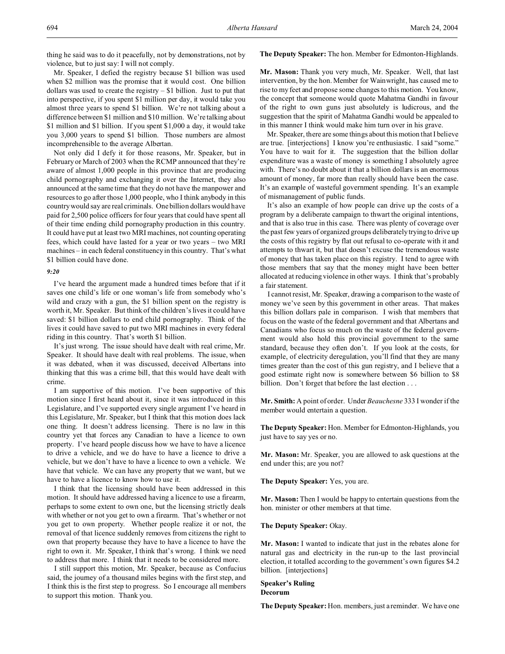thing he said was to do it peacefully, not by demonstrations, not by violence, but to just say: I will not comply.

# Mr. Speaker, I defied the registry because \$1 billion was used when \$2 million was the promise that it would cost. One billion dollars was used to create the registry – \$1 billion. Just to put that into perspective, if you spent \$1 million per day, it would take you almost three years to spend \$1 billion. We're not talking about a difference between \$1 million and \$10 million. We're talking about \$1 million and \$1 billion. If you spent \$1,000 a day, it would take you 3,000 years to spend \$1 billion. Those numbers are almost incomprehensible to the average Albertan.

Not only did I defy it for those reasons, Mr. Speaker, but in February or March of 2003 when the RCMP announced that they're aware of almost 1,000 people in this province that are producing child pornography and exchanging it over the Internet, they also announced at the same time that they do not have the manpower and resources to go after those 1,000 people, who I think anybody in this country would say are real criminals. One billion dollars would have paid for 2,500 police officers for four years that could have spent all of their time ending child pornography production in this country. It could have put at least two MRI machines, not counting operating fees, which could have lasted for a year or two years – two MRI machines – in each federal constituency in this country. That's what \$1 billion could have done.

# *9:20*

I've heard the argument made a hundred times before that if it saves one child's life or one woman's life from somebody who's wild and crazy with a gun, the \$1 billion spent on the registry is worth it, Mr. Speaker. But think of the children's lives it could have saved: \$1 billion dollars to end child pornography. Think of the lives it could have saved to put two MRI machines in every federal riding in this country. That's worth \$1 billion.

It's just wrong. The issue should have dealt with real crime, Mr. Speaker. It should have dealt with real problems. The issue, when it was debated, when it was discussed, deceived Albertans into thinking that this was a crime bill, that this would have dealt with crime.

I am supportive of this motion. I've been supportive of this motion since I first heard about it, since it was introduced in this Legislature, and I've supported every single argument I've heard in this Legislature, Mr. Speaker, but I think that this motion does lack one thing. It doesn't address licensing. There is no law in this country yet that forces any Canadian to have a licence to own property. I've heard people discuss how we have to have a licence to drive a vehicle, and we do have to have a licence to drive a vehicle, but we don't have to have a licence to own a vehicle. We have that vehicle. We can have any property that we want, but we have to have a licence to know how to use it.

I think that the licensing should have been addressed in this motion. It should have addressed having a licence to use a firearm, perhaps to some extent to own one, but the licensing strictly deals with whether or not you get to own a firearm. That's whether or not you get to own property. Whether people realize it or not, the removal of that licence suddenly removes from citizens the right to own that property because they have to have a licence to have the right to own it. Mr. Speaker, I think that's wrong. I think we need to address that more. I think that it needs to be considered more.

I still support this motion, Mr. Speaker, because as Confucius said, the journey of a thousand miles begins with the first step, and I think this is the first step to progress. So I encourage all members to support this motion. Thank you.

#### **The Deputy Speaker:** The hon. Member for Edmonton-Highlands.

**Mr. Mason:** Thank you very much, Mr. Speaker. Well, that last intervention, by the hon. Member for Wainwright, has caused me to rise to my feet and propose some changes to this motion. You know, the concept that someone would quote Mahatma Gandhi in favour of the right to own guns just absolutely is ludicrous, and the suggestion that the spirit of Mahatma Gandhi would be appealed to in this manner I think would make him turn over in his grave.

Mr. Speaker, there are some things about this motion that I believe are true. [interjections] I know you're enthusiastic. I said "some." You have to wait for it. The suggestion that the billion dollar expenditure was a waste of money is something I absolutely agree with. There's no doubt about it that a billion dollars is an enormous amount of money, far more than really should have been the case. It's an example of wasteful government spending. It's an example of mismanagement of public funds.

It's also an example of how people can drive up the costs of a program by a deliberate campaign to thwart the original intentions, and that is also true in this case. There was plenty of coverage over the past few years of organized groups deliberately trying to drive up the costs of this registry by flat out refusal to co-operate with it and attempts to thwart it, but that doesn't excuse the tremendous waste of money that has taken place on this registry. I tend to agree with those members that say that the money might have been better allocated at reducing violence in other ways. I think that's probably a fair statement.

I cannot resist, Mr. Speaker, drawing a comparison to the waste of money we've seen by this government in other areas. That makes this billion dollars pale in comparison. I wish that members that focus on the waste of the federal government and that Albertans and Canadians who focus so much on the waste of the federal government would also hold this provincial government to the same standard, because they often don't. If you look at the costs, for example, of electricity deregulation, you'll find that they are many times greater than the cost of this gun registry, and I believe that a good estimate right now is somewhere between \$6 billion to \$8 billion. Don't forget that before the last election . . .

**Mr. Smith:** A point of order. Under *Beauchesne* 333 I wonder if the member would entertain a question.

**The Deputy Speaker:** Hon. Member for Edmonton-Highlands, you just have to say yes or no.

**Mr. Mason:** Mr. Speaker, you are allowed to ask questions at the end under this; are you not?

**The Deputy Speaker:** Yes, you are.

**Mr. Mason:** Then I would be happy to entertain questions from the hon. minister or other members at that time.

**The Deputy Speaker:** Okay.

**Mr. Mason:** I wanted to indicate that just in the rebates alone for natural gas and electricity in the run-up to the last provincial election, it totalled according to the government's own figures \$4.2 billion. [interjections]

#### **Speaker's Ruling Decorum**

**The Deputy Speaker:** Hon. members, just a reminder. We have one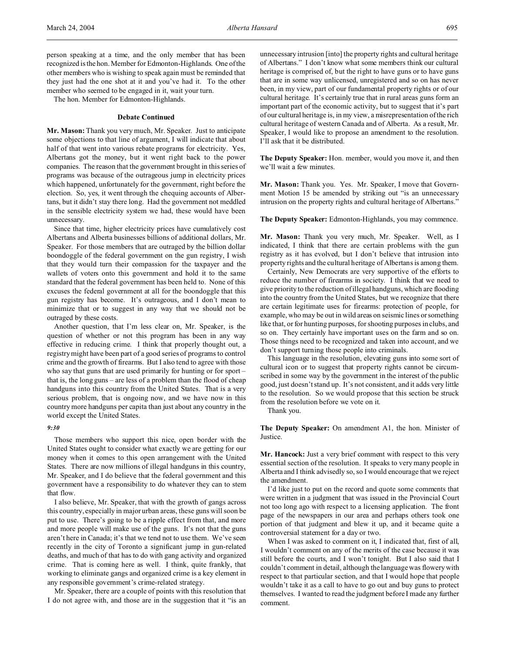person speaking at a time, and the only member that has been recognized is the hon. Member for Edmonton-Highlands. One of the other members who is wishing to speak again must be reminded that they just had the one shot at it and you've had it. To the other member who seemed to be engaged in it, wait your turn.

The hon. Member for Edmonton-Highlands.

#### **Debate Continued**

**Mr. Mason:** Thank you very much, Mr. Speaker. Just to anticipate some objections to that line of argument, I will indicate that about half of that went into various rebate programs for electricity. Yes, Albertans got the money, but it went right back to the power companies. The reason that the government brought in this series of programs was because of the outrageous jump in electricity prices which happened, unfortunately for the government, right before the election. So, yes, it went through the chequing accounts of Albertans, but it didn't stay there long. Had the government not meddled in the sensible electricity system we had, these would have been unnecessary.

Since that time, higher electricity prices have cumulatively cost Albertans and Alberta businesses billions of additional dollars, Mr. Speaker. For those members that are outraged by the billion dollar boondoggle of the federal government on the gun registry, I wish that they would turn their compassion for the taxpayer and the wallets of voters onto this government and hold it to the same standard that the federal government has been held to. None of this excuses the federal government at all for the boondoggle that this gun registry has become. It's outrageous, and I don't mean to minimize that or to suggest in any way that we should not be outraged by these costs.

Another question, that I'm less clear on, Mr. Speaker, is the question of whether or not this program has been in any way effective in reducing crime. I think that properly thought out, a registry might have been part of a good series of programs to control crime and the growth of firearms. But I also tend to agree with those who say that guns that are used primarily for hunting or for sport that is, the long guns – are less of a problem than the flood of cheap handguns into this country from the United States. That is a very serious problem, that is ongoing now, and we have now in this country more handguns per capita than just about any country in the world except the United States.

#### *9:30*

Those members who support this nice, open border with the United States ought to consider what exactly we are getting for our money when it comes to this open arrangement with the United States. There are now millions of illegal handguns in this country, Mr. Speaker, and I do believe that the federal government and this government have a responsibility to do whatever they can to stem that flow.

I also believe, Mr. Speaker, that with the growth of gangs across this country, especially in major urban areas, these guns will soon be put to use. There's going to be a ripple effect from that, and more and more people will make use of the guns. It's not that the guns aren't here in Canada; it's that we tend not to use them. We've seen recently in the city of Toronto a significant jump in gun-related deaths, and much of that has to do with gang activity and organized crime. That is coming here as well. I think, quite frankly, that working to eliminate gangs and organized crime is a key element in any responsible government's crime-related strategy.

Mr. Speaker, there are a couple of points with this resolution that I do not agree with, and those are in the suggestion that it "is an unnecessary intrusion [into] the property rights and cultural heritage of Albertans." I don't know what some members think our cultural heritage is comprised of, but the right to have guns or to have guns that are in some way unlicensed, unregistered and so on has never been, in my view, part of our fundamental property rights or of our cultural heritage. It's certainly true that in rural areas guns form an important part of the economic activity, but to suggest that it's part of our cultural heritage is, in my view, a misrepresentation of the rich cultural heritage of western Canada and of Alberta. As a result, Mr. Speaker, I would like to propose an amendment to the resolution. I'll ask that it be distributed.

**The Deputy Speaker:** Hon. member, would you move it, and then we'll wait a few minutes.

**Mr. Mason:** Thank you. Yes. Mr. Speaker, I move that Government Motion 15 be amended by striking out "is an unnecessary intrusion on the property rights and cultural heritage of Albertans."

**The Deputy Speaker:** Edmonton-Highlands, you may commence.

**Mr. Mason:** Thank you very much, Mr. Speaker. Well, as I indicated, I think that there are certain problems with the gun registry as it has evolved, but I don't believe that intrusion into property rights and the cultural heritage of Albertans is among them.

Certainly, New Democrats are very supportive of the efforts to reduce the number of firearms in society. I think that we need to give priority to the reduction of illegal handguns, which are flooding into the country from the United States, but we recognize that there are certain legitimate uses for firearms: protection of people, for example, who may be out in wild areas on seismic lines or something like that, or for hunting purposes, for shooting purposes in clubs, and so on. They certainly have important uses on the farm and so on. Those things need to be recognized and taken into account, and we don't support turning those people into criminals.

This language in the resolution, elevating guns into some sort of cultural icon or to suggest that property rights cannot be circumscribed in some way by the government in the interest of the public good, just doesn't stand up. It's not consistent, and it adds very little to the resolution. So we would propose that this section be struck from the resolution before we vote on it.

Thank you.

**The Deputy Speaker:** On amendment A1, the hon. Minister of Justice.

**Mr. Hancock:** Just a very brief comment with respect to this very essential section of the resolution. It speaks to very many people in Alberta and I think advisedly so, so I would encourage that we reject the amendment.

I'd like just to put on the record and quote some comments that were written in a judgment that was issued in the Provincial Court not too long ago with respect to a licensing application. The front page of the newspapers in our area and perhaps others took one portion of that judgment and blew it up, and it became quite a controversial statement for a day or two.

When I was asked to comment on it, I indicated that, first of all, I wouldn't comment on any of the merits of the case because it was still before the courts, and I won't tonight. But I also said that I couldn't comment in detail, although the language was flowery with respect to that particular section, and that I would hope that people wouldn't take it as a call to have to go out and buy guns to protect themselves. I wanted to read the judgment before I made any further comment.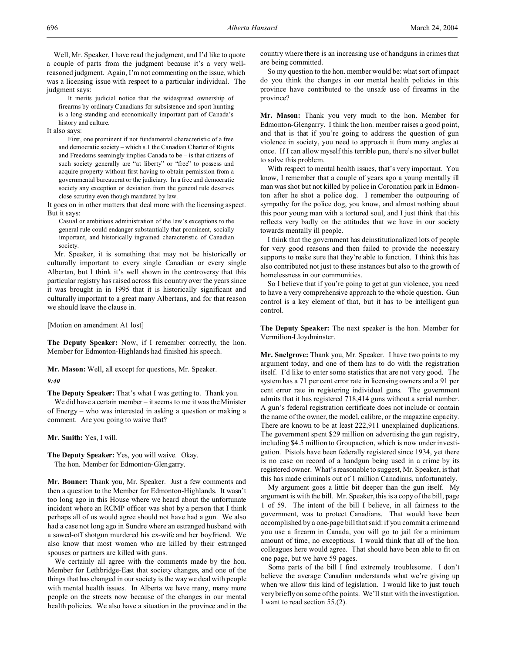Well, Mr. Speaker, I have read the judgment, and I'd like to quote a couple of parts from the judgment because it's a very wellreasoned judgment. Again, I'm not commenting on the issue, which was a licensing issue with respect to a particular individual. The judgment says:

It merits judicial notice that the widespread ownership of firearms by ordinary Canadians for subsistence and sport hunting is a long-standing and economically important part of Canada's history and culture.

It also says:

First, one prominent if not fundamental characteristic of a free and democratic society – which s.1 the Canadian Charter of Rights and Freedoms seemingly implies Canada to be – is that citizens of such society generally are "at liberty" or "free" to possess and acquire property without first having to obtain permission from a governmental bureaucrat or the judiciary. In a free and democratic society any exception or deviation from the general rule deserves close scrutiny even though mandated by law.

It goes on in other matters that deal more with the licensing aspect. But it says:

Casual or ambitious administration of the law's exceptions to the general rule could endanger substantially that prominent, socially important, and historically ingrained characteristic of Canadian society.

Mr. Speaker, it is something that may not be historically or culturally important to every single Canadian or every single Albertan, but I think it's well shown in the controversy that this particular registry has raised across this country over the years since it was brought in in 1995 that it is historically significant and culturally important to a great many Albertans, and for that reason we should leave the clause in.

[Motion on amendment A1 lost]

**The Deputy Speaker:** Now, if I remember correctly, the hon. Member for Edmonton-Highlands had finished his speech.

**Mr. Mason:** Well, all except for questions, Mr. Speaker.

*9:40*

**The Deputy Speaker:** That's what I was getting to. Thank you.

We did have a certain member – it seems to me it was the Minister of Energy – who was interested in asking a question or making a comment. Are you going to waive that?

**Mr. Smith:** Yes, I will.

**The Deputy Speaker:** Yes, you will waive. Okay. The hon. Member for Edmonton-Glengarry.

**Mr. Bonner:** Thank you, Mr. Speaker. Just a few comments and then a question to the Member for Edmonton-Highlands. It wasn't too long ago in this House where we heard about the unfortunate incident where an RCMP officer was shot by a person that I think perhaps all of us would agree should not have had a gun. We also had a case not long ago in Sundre where an estranged husband with a sawed-off shotgun murdered his ex-wife and her boyfriend. We also know that most women who are killed by their estranged spouses or partners are killed with guns.

We certainly all agree with the comments made by the hon. Member for Lethbridge-East that society changes, and one of the things that has changed in our society is the way we deal with people with mental health issues. In Alberta we have many, many more people on the streets now because of the changes in our mental health policies. We also have a situation in the province and in the country where there is an increasing use of handguns in crimes that are being committed.

So my question to the hon. member would be: what sort of impact do you think the changes in our mental health policies in this province have contributed to the unsafe use of firearms in the province?

**Mr. Mason:** Thank you very much to the hon. Member for Edmonton-Glengarry. I think the hon. member raises a good point, and that is that if you're going to address the question of gun violence in society, you need to approach it from many angles at once. If I can allow myself this terrible pun, there's no silver bullet to solve this problem.

With respect to mental health issues, that's very important. You know, I remember that a couple of years ago a young mentally ill man was shot but not killed by police in Coronation park in Edmonton after he shot a police dog. I remember the outpouring of sympathy for the police dog, you know, and almost nothing about this poor young man with a tortured soul, and I just think that this reflects very badly on the attitudes that we have in our society towards mentally ill people.

I think that the government has deinstitutionalized lots of people for very good reasons and then failed to provide the necessary supports to make sure that they're able to function. I think this has also contributed not just to these instances but also to the growth of homelessness in our communities.

So I believe that if you're going to get at gun violence, you need to have a very comprehensive approach to the whole question. Gun control is a key element of that, but it has to be intelligent gun control.

**The Deputy Speaker:** The next speaker is the hon. Member for Vermilion-Lloydminster.

**Mr. Snelgrove:** Thank you, Mr. Speaker. I have two points to my argument today, and one of them has to do with the registration itself. I'd like to enter some statistics that are not very good. The system has a 71 per cent error rate in licensing owners and a 91 per cent error rate in registering individual guns. The government admits that it has registered 718,414 guns without a serial number. A gun's federal registration certificate does not include or contain the name of the owner, the model, calibre, or the magazine capacity. There are known to be at least 222,911 unexplained duplications. The government spent \$29 million on advertising the gun registry, including \$4.5 million to Groupaction, which is now under investigation. Pistols have been federally registered since 1934, yet there is no case on record of a handgun being used in a crime by its registered owner. What's reasonable to suggest, Mr. Speaker, is that this has made criminals out of 1 million Canadians, unfortunately.

My argument goes a little bit deeper than the gun itself. My argument is with the bill. Mr. Speaker, this is a copy of the bill, page 1 of 59. The intent of the bill I believe, in all fairness to the government, was to protect Canadians. That would have been accomplished by a one-page bill that said: if you commit a crime and you use a firearm in Canada, you will go to jail for a minimum amount of time, no exceptions. I would think that all of the hon. colleagues here would agree. That should have been able to fit on one page, but we have 59 pages.

Some parts of the bill I find extremely troublesome. I don't believe the average Canadian understands what we're giving up when we allow this kind of legislation. I would like to just touch very briefly on some of the points. We'll start with the investigation. I want to read section 55.(2).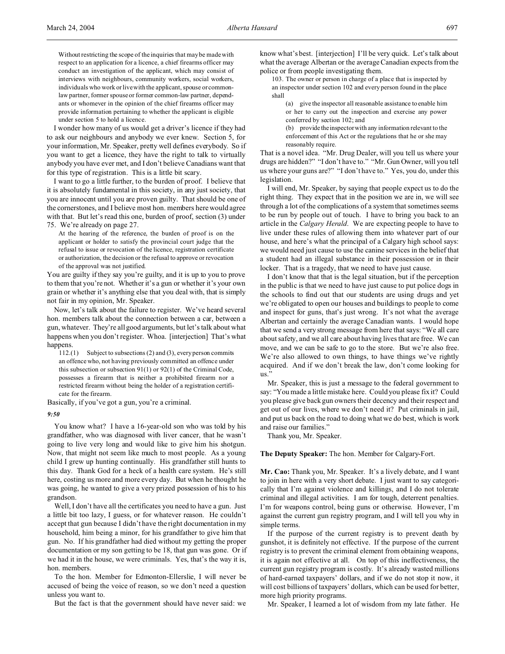Without restricting the scope of the inquiries that may be made with respect to an application for a licence, a chief firearms officer may conduct an investigation of the applicant, which may consist of interviews with neighbours, community workers, social workers, individuals who work or live with the applicant, spouse or commonlaw partner, former spouse or former common-law partner, dependants or whomever in the opinion of the chief firearms officer may provide information pertaining to whether the applicant is eligible under section 5 to hold a licence.

I wonder how many of us would get a driver's licence if they had to ask our neighbours and anybody we ever knew. Section 5, for your information, Mr. Speaker, pretty well defines everybody. So if you want to get a licence, they have the right to talk to virtually anybody you have ever met, and I don't believe Canadians want that for this type of registration. This is a little bit scary.

I want to go a little further, to the burden of proof. I believe that it is absolutely fundamental in this society, in any just society, that you are innocent until you are proven guilty. That should be one of the cornerstones, and I believe most hon. members here would agree with that. But let's read this one, burden of proof, section (3) under 75. We're already on page 27.

At the hearing of the reference, the burden of proof is on the applicant or holder to satisfy the provincial court judge that the refusal to issue or revocation of the licence, registration certificate or authorization, the decision or the refusal to approve or revocation of the approval was not justified.

You are guilty if they say you're guilty, and it is up to you to prove to them that you're not. Whether it's a gun or whether it's your own grain or whether it's anything else that you deal with, that is simply not fair in my opinion, Mr. Speaker.

Now, let's talk about the failure to register. We've heard several hon. members talk about the connection between a car, between a gun, whatever. They're all good arguments, but let's talk about what happens when you don't register. Whoa. [interjection] That's what happens.

112.(1) Subject to subsections (2) and (3), every person commits an offence who, not having previously committed an offence under this subsection or subsection 91(1) or 92(1) of the Criminal Code, possesses a firearm that is neither a prohibited firearm nor a restricted firearm without being the holder of a registration certificate for the firearm.

Basically, if you've got a gun, you're a criminal.

#### *9:50*

You know what? I have a 16-year-old son who was told by his grandfather, who was diagnosed with liver cancer, that he wasn't going to live very long and would like to give him his shotgun. Now, that might not seem like much to most people. As a young child I grew up hunting continually. His grandfather still hunts to this day. Thank God for a heck of a health care system. He's still here, costing us more and more every day. But when he thought he was going, he wanted to give a very prized possession of his to his grandson.

Well, I don't have all the certificates you need to have a gun. Just a little bit too lazy, I guess, or for whatever reason. He couldn't accept that gun because I didn't have the right documentation in my household, him being a minor, for his grandfather to give him that gun. No. If his grandfather had died without my getting the proper documentation or my son getting to be 18, that gun was gone. Or if we had it in the house, we were criminals. Yes, that's the way it is, hon. members.

To the hon. Member for Edmonton-Ellerslie, I will never be accused of being the voice of reason, so we don't need a question unless you want to.

But the fact is that the government should have never said: we

know what's best. [interjection] I'll be very quick. Let's talk about what the average Albertan or the average Canadian expects from the police or from people investigating them.

103. The owner or person in charge of a place that is inspected by an inspector under section 102 and every person found in the place shall

(a) give the inspector all reasonable assistance to enable him or her to carry out the inspection and exercise any power conferred by section 102; and

(b) provide the inspector with any information relevant to the enforcement of this Act or the regulations that he or she may reasonably require.

That is a novel idea. "Mr. Drug Dealer, will you tell us where your drugs are hidden?" "I don't have to." "Mr. Gun Owner, will you tell us where your guns are?" "I don't have to." Yes, you do, under this legislation.

I will end, Mr. Speaker, by saying that people expect us to do the right thing. They expect that in the position we are in, we will see through a lot of the complications of a system that sometimes seems to be run by people out of touch. I have to bring you back to an article in the *Calgary Herald*. We are expecting people to have to live under these rules of allowing them into whatever part of our house, and here's what the principal of a Calgary high school says: we would need just cause to use the canine services in the belief that a student had an illegal substance in their possession or in their locker. That is a tragedy, that we need to have just cause.

I don't know that that is the legal situation, but if the perception in the public is that we need to have just cause to put police dogs in the schools to find out that our students are using drugs and yet we're obligated to open our houses and buildings to people to come and inspect for guns, that's just wrong. It's not what the average Albertan and certainly the average Canadian wants. I would hope that we send a very strong message from here that says: "We all care about safety, and we all care about having lives that are free. We can move, and we can be safe to go to the store. But we're also free. We're also allowed to own things, to have things we've rightly acquired. And if we don't break the law, don't come looking for us."

Mr. Speaker, this is just a message to the federal government to say: "You made a little mistake here. Could you please fix it? Could you please give back gun owners their decency and their respect and get out of our lives, where we don't need it? Put criminals in jail, and put us back on the road to doing what we do best, which is work and raise our families."

Thank you, Mr. Speaker.

# **The Deputy Speaker:** The hon. Member for Calgary-Fort.

**Mr. Cao:** Thank you, Mr. Speaker. It's a lively debate, and I want to join in here with a very short debate. I just want to say categorically that I'm against violence and killings, and I do not tolerate criminal and illegal activities. I am for tough, deterrent penalties. I'm for weapons control, being guns or otherwise. However, I'm against the current gun registry program, and I will tell you why in simple terms.

If the purpose of the current registry is to prevent death by gunshot, it is definitely not effective. If the purpose of the current registry is to prevent the criminal element from obtaining weapons, it is again not effective at all. On top of this ineffectiveness, the current gun registry program is costly. It's already wasted millions of hard-earned taxpayers' dollars, and if we do not stop it now, it will cost billions of taxpayers' dollars, which can be used for better, more high priority programs.

Mr. Speaker, I learned a lot of wisdom from my late father. He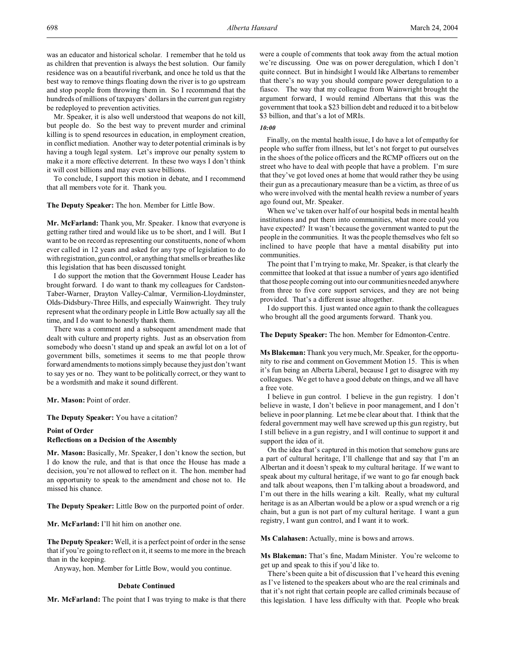was an educator and historical scholar. I remember that he told us as children that prevention is always the best solution. Our family residence was on a beautiful riverbank, and once he told us that the best way to remove things floating down the river is to go upstream and stop people from throwing them in. So I recommend that the hundreds of millions of taxpayers' dollars in the current gun registry be redeployed to prevention activities.

Mr. Speaker, it is also well understood that weapons do not kill, but people do. So the best way to prevent murder and criminal killing is to spend resources in education, in employment creation, in conflict mediation. Another way to deter potential criminals is by having a tough legal system. Let's improve our penalty system to make it a more effective deterrent. In these two ways I don't think it will cost billions and may even save billions.

To conclude, I support this motion in debate, and I recommend that all members vote for it. Thank you.

**The Deputy Speaker:** The hon. Member for Little Bow.

**Mr. McFarland:** Thank you, Mr. Speaker. I know that everyone is getting rather tired and would like us to be short, and I will. But I want to be on record as representing our constituents, none of whom ever called in 12 years and asked for any type of legislation to do with registration, gun control, or anything that smells or breathes like this legislation that has been discussed tonight.

I do support the motion that the Government House Leader has brought forward. I do want to thank my colleagues for Cardston-Taber-Warner, Drayton Valley-Calmar, Vermilion-Lloydminster, Olds-Didsbury-Three Hills, and especially Wainwright. They truly represent what the ordinary people in Little Bow actually say all the time, and I do want to honestly thank them.

There was a comment and a subsequent amendment made that dealt with culture and property rights. Just as an observation from somebody who doesn't stand up and speak an awful lot on a lot of government bills, sometimes it seems to me that people throw forward amendments to motions simply because they just don't want to say yes or no. They want to be politically correct, or they want to be a wordsmith and make it sound different.

**Mr. Mason:** Point of order.

**The Deputy Speaker:** You have a citation?

# **Point of Order Reflections on a Decision of the Assembly**

**Mr. Mason:** Basically, Mr. Speaker, I don't know the section, but I do know the rule, and that is that once the House has made a decision, you're not allowed to reflect on it. The hon. member had an opportunity to speak to the amendment and chose not to. He missed his chance.

**The Deputy Speaker:** Little Bow on the purported point of order.

**Mr. McFarland:** I'll hit him on another one.

**The Deputy Speaker:** Well, it is a perfect point of order in the sense that if you're going to reflect on it, it seems to me more in the breach than in the keeping.

Anyway, hon. Member for Little Bow, would you continue.

#### **Debate Continued**

**Mr. McFarland:** The point that I was trying to make is that there

were a couple of comments that took away from the actual motion we're discussing. One was on power deregulation, which I don't quite connect. But in hindsight I would like Albertans to remember that there's no way you should compare power deregulation to a fiasco. The way that my colleague from Wainwright brought the argument forward, I would remind Albertans that this was the government that took a \$23 billion debt and reduced it to a bit below \$3 billion, and that's a lot of MRIs.

# *10:00*

Finally, on the mental health issue, I do have a lot of empathy for people who suffer from illness, but let's not forget to put ourselves in the shoes of the police officers and the RCMP officers out on the street who have to deal with people that have a problem. I'm sure that they've got loved ones at home that would rather they be using their gun as a precautionary measure than be a victim, as three of us who were involved with the mental health review a number of years ago found out, Mr. Speaker.

When we've taken over half of our hospital beds in mental health institutions and put them into communities, what more could you have expected? It wasn't because the government wanted to put the people in the communities. It was the people themselves who felt so inclined to have people that have a mental disability put into communities.

The point that I'm trying to make, Mr. Speaker, is that clearly the committee that looked at that issue a number of years ago identified that those people coming out into our communities needed anywhere from three to five core support services, and they are not being provided. That's a different issue altogether.

I do support this. I just wanted once again to thank the colleagues who brought all the good arguments forward. Thank you.

**The Deputy Speaker:** The hon. Member for Edmonton-Centre.

**Ms Blakeman:** Thank you very much, Mr. Speaker, for the opportunity to rise and comment on Government Motion 15. This is when it's fun being an Alberta Liberal, because I get to disagree with my colleagues. We get to have a good debate on things, and we all have a free vote.

I believe in gun control. I believe in the gun registry. I don't believe in waste, I don't believe in poor management, and I don't believe in poor planning. Let me be clear about that. I think that the federal government may well have screwed up this gun registry, but I still believe in a gun registry, and I will continue to support it and support the idea of it.

On the idea that's captured in this motion that somehow guns are a part of cultural heritage, I'll challenge that and say that I'm an Albertan and it doesn't speak to my cultural heritage. If we want to speak about my cultural heritage, if we want to go far enough back and talk about weapons, then I'm talking about a broadsword, and I'm out there in the hills wearing a kilt. Really, what my cultural heritage is as an Albertan would be a plow or a spud wrench or a rig chain, but a gun is not part of my cultural heritage. I want a gun registry, I want gun control, and I want it to work.

**Ms Calahasen:** Actually, mine is bows and arrows.

**Ms Blakeman:** That's fine, Madam Minister. You're welcome to get up and speak to this if you'd like to.

There's been quite a bit of discussion that I've heard this evening as I've listened to the speakers about who are the real criminals and that it's not right that certain people are called criminals because of this legislation. I have less difficulty with that. People who break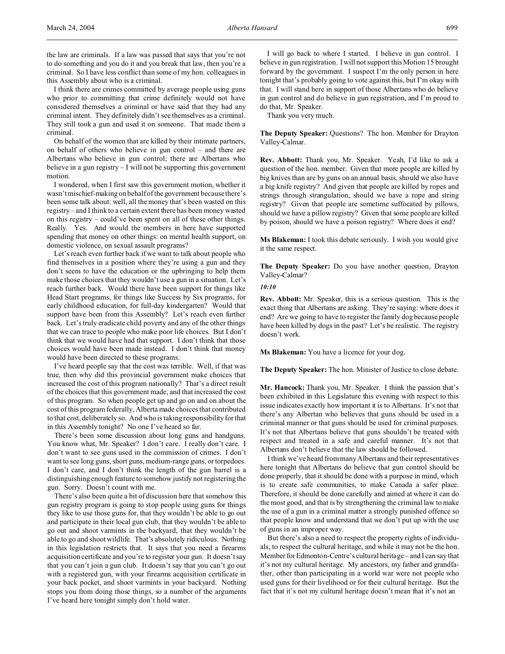the law are criminals. If a law was passed that says that you're not to do something and you do it and you break that law, then you're a criminal. So I have less conflict than some of my hon. colleagues in this Assembly about who is a criminal.

I think there are crimes committed by average people using guns who prior to committing that crime definitely would not have considered themselves a criminal or have said that they had any criminal intent. They definitely didn't see themselves as a criminal. They still took a gun and used it on someone. That made them a criminal.

On behalf of the women that are killed by their intimate partners, on behalf of others who believe in gun control – and there are Albertans who believe in gun control; there are Albertans who believe in a gun registry – I will not be supporting this government motion.

I wondered, when I first saw this government motion, whether it wasn't mischief-making on behalf of the government because there's been some talk about: well, all the money that's been wasted on this registry – and I think to a certain extent there has been money wasted on this registry – could've been spent on all of these other things. Really. Yes. And would the members in here have supported spending that money on other things: on mental health support, on domestic violence, on sexual assault programs?

Let's reach even further back if we want to talk about people who find themselves in a position where they're using a gun and they don't seem to have the education or the upbringing to help them make those choices that they wouldn't use a gun in a situation. Let's reach further back. Would there have been support for things like Head Start programs, for things like Success by Six programs, for early childhood education, for full-day kindergarten? Would that support have been from this Assembly? Let's reach even further back. Let's truly eradicate child poverty and any of the other things that we can trace to people who make poor life choices. But I don't think that we would have had that support. I don't think that those choices would have been made instead. I don't think that money would have been directed to these programs.

I've heard people say that the cost was terrible. Well, if that was true, then why did this provincial government make choices that increased the cost of this program nationally? That's a direct result of the choices that this government made, and that increased the cost of this program. So when people get up and go on and on about the cost of this program federally, Alberta made choices that contributed to that cost, deliberately so. And who is taking responsibility for that in this Assembly tonight? No one I've heard so far.

There's been some discussion about long guns and handguns. You know what, Mr. Speaker? I don't care. I really don't care. I don't want to see guns used in the commission of crimes. I don't want to see long guns, short guns, medium-range guns, or torpedoes. I don't care, and I don't think the length of the gun barrel is a distinguishing enough feature to somehow justify not registering the gun. Sorry. Doesn't count with me.

There's also been quite a bit of discussion here that somehow this gun registry program is going to stop people using guns for things they like to use those guns for, that they wouldn't be able to go out and participate in their local gun club, that they wouldn't be able to go out and shoot varmints in the backyard, that they wouldn't be able to go and shoot wildlife. That's absolutely ridiculous. Nothing in this legislation restricts that. It says that you need a firearms acquisition certificate and you're to register your gun. It doesn't say that you can't join a gun club. It doesn't say that you can't go out with a registered gun, with your firearms acquisition certificate in your back pocket, and shoot varmints in your backyard. Nothing stops you from doing those things, so a number of the arguments I've heard here tonight simply don't hold water.

I will go back to where I started. I believe in gun control. I believe in gun registration. I will not support this Motion 15 brought forward by the government. I suspect I'm the only person in here tonight that's probably going to vote against this, but I'm okay with that. I will stand here in support of those Albertans who do believe in gun control and do believe in gun registration, and I'm proud to do that, Mr. Speaker.

Thank you very much.

**The Deputy Speaker:** Questions? The hon. Member for Drayton Valley-Calmar.

**Rev. Abbott:** Thank you, Mr. Speaker. Yeah, I'd like to ask a question of the hon. member. Given that more people are killed by big knives than are by guns on an annual basis, should we also have a big knife registry? And given that people are killed by ropes and strings through strangulation, should we have a rope and string registry? Given that people are sometime suffocated by pillows, should we have a pillow registry? Given that some people are killed by poison, should we have a poison registry? Where does it end?

**Ms Blakeman:** I took this debate seriously. I wish you would give it the same respect.

**The Deputy Speaker:** Do you have another question, Drayton Valley-Calmar?

*10:10*

**Rev. Abbott:** Mr. Speaker, this is a serious question. This is the exact thing that Albertans are asking. They're saying: where does it end? Are we going to have to register the family dog because people have been killed by dogs in the past? Let's be realistic. The registry doesn't work.

**Ms Blakeman:** You have a licence for your dog.

**The Deputy Speaker:** The hon. Minister of Justice to close debate.

**Mr. Hancock:** Thank you, Mr. Speaker. I think the passion that's been exhibited in this Legislature this evening with respect to this issue indicates exactly how important it is to Albertans. It's not that there's any Albertan who believes that guns should be used in a criminal manner or that guns should be used for criminal purposes. It's not that Albertans believe that guns shouldn't be treated with respect and treated in a safe and careful manner. It's not that Albertans don't believe that the law should be followed.

I think we've heard from many Albertans and their representatives here tonight that Albertans do believe that gun control should be done properly, that it should be done with a purpose in mind, which is to create safe communities, to make Canada a safer place. Therefore, it should be done carefully and aimed at where it can do the most good, and that is by strengthening the criminal law to make the use of a gun in a criminal matter a strongly punished offence so that people know and understand that we don't put up with the use of guns in an improper way.

But there's also a need to respect the property rights of individuals, to respect the cultural heritage, and while it may not be the hon. Member for Edmonton-Centre's cultural heritage – and I can say that it's not my cultural heritage. My ancestors, my father and grandfather, other than participating in a world war were not people who used guns for their livelihood or for their cultural heritage. But the fact that it's not my cultural heritage doesn't mean that it's not an